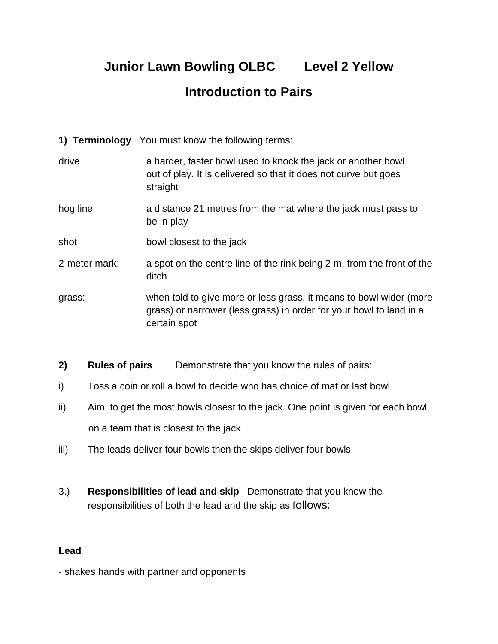## **Junior Lawn Bowling OLBC Level 2 Yellow Introduction to Pairs**

- **1) Terminology** You must know the following terms:
- drive a harder, faster bowl used to knock the jack or another bowl out of play. It is delivered so that it does not curve but goes straight
- hog line a distance 21 metres from the mat where the jack must pass to be in play
- shot bowl closest to the jack
- 2-meter mark: a spot on the centre line of the rink being 2 m. from the front of the ditch
- grass: when told to give more or less grass, it means to bowl wider (more grass) or narrower (less grass) in order for your bowl to land in a certain spot
- **2) Rules of pairs** Demonstrate that you know the rules of pairs:
- i) Toss a coin or roll a bowl to decide who has choice of mat or last bowl
- ii) Aim: to get the most bowls closest to the jack. One point is given for each bowl on a team that is closest to the jack
- iii) The leads deliver four bowls then the skips deliver four bowls
- 3.) **Responsibilities of lead and skip** Demonstrate that you know the responsibilities of both the lead and the skip as follows:

## **Lead**

- shakes hands with partner and opponents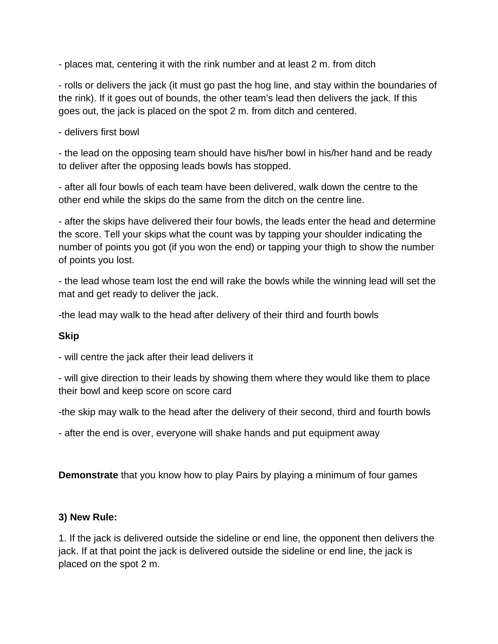- places mat, centering it with the rink number and at least 2 m. from ditch

- rolls or delivers the jack (it must go past the hog line, and stay within the boundaries of the rink). If it goes out of bounds, the other team's lead then delivers the jack. If this goes out, the jack is placed on the spot 2 m. from ditch and centered.

- delivers first bowl

- the lead on the opposing team should have his/her bowl in his/her hand and be ready to deliver after the opposing leads bowls has stopped.

- after all four bowls of each team have been delivered, walk down the centre to the other end while the skips do the same from the ditch on the centre line.

- after the skips have delivered their four bowls, the leads enter the head and determine the score. Tell your skips what the count was by tapping your shoulder indicating the number of points you got (if you won the end) or tapping your thigh to show the number of points you lost.

- the lead whose team lost the end will rake the bowls while the winning lead will set the mat and get ready to deliver the jack.

-the lead may walk to the head after delivery of their third and fourth bowls

## **Skip**

- will centre the jack after their lead delivers it

- will give direction to their leads by showing them where they would like them to place their bowl and keep score on score card

-the skip may walk to the head after the delivery of their second, third and fourth bowls

- after the end is over, everyone will shake hands and put equipment away

**Demonstrate** that you know how to play Pairs by playing a minimum of four games

## **3) New Rule:**

1. If the jack is delivered outside the sideline or end line, the opponent then delivers the jack. If at that point the jack is delivered outside the sideline or end line, the jack is placed on the spot 2 m.